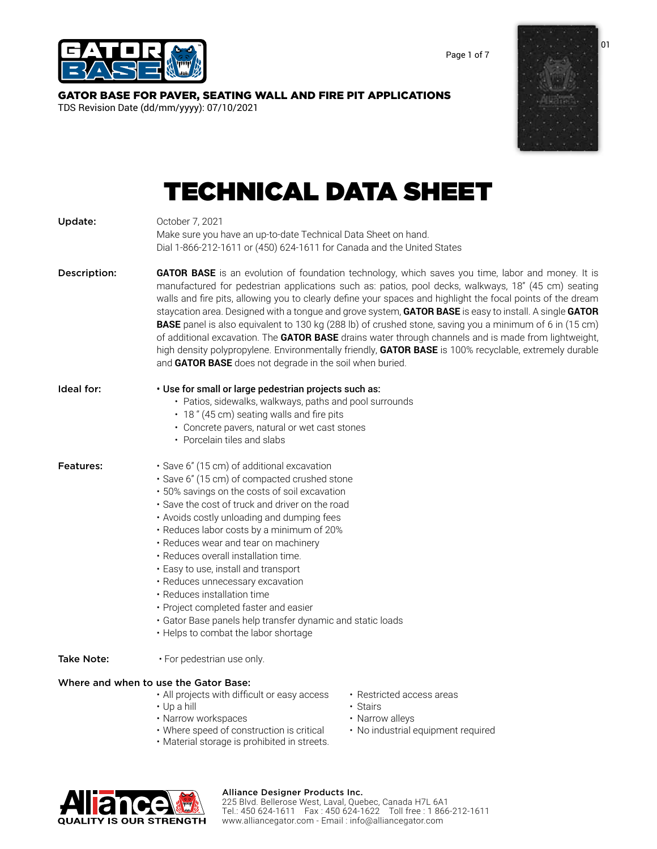

Page 1 of 7

# [GATOR BASE FOR PAVER, SEATING WALL AND FIRE PIT APPLICATIONS](https://alliancegator.com/gator-base/)

TDS Revision Date (dd/mm/yyyy): 07/10/2021



# TECHNICAL DATA SHEET

| Update:           | October 7, 2021<br>Make sure you have an up-to-date Technical Data Sheet on hand.<br>Dial 1-866-212-1611 or (450) 624-1611 for Canada and the United States                                                                                                                                                                                                                                                                                                                                                                                                                                                                                                                                                                                                                                                                               |                                       |  |  |  |
|-------------------|-------------------------------------------------------------------------------------------------------------------------------------------------------------------------------------------------------------------------------------------------------------------------------------------------------------------------------------------------------------------------------------------------------------------------------------------------------------------------------------------------------------------------------------------------------------------------------------------------------------------------------------------------------------------------------------------------------------------------------------------------------------------------------------------------------------------------------------------|---------------------------------------|--|--|--|
| Description:      | GATOR BASE is an evolution of foundation technology, which saves you time, labor and money. It is<br>manufactured for pedestrian applications such as: patios, pool decks, walkways, 18" (45 cm) seating<br>walls and fire pits, allowing you to clearly define your spaces and highlight the focal points of the dream<br>staycation area. Designed with a tongue and grove system, GATOR BASE is easy to install. A single GATOR<br><b>BASE</b> panel is also equivalent to 130 kg (288 lb) of crushed stone, saving you a minimum of 6 in (15 cm)<br>of additional excavation. The <b>GATOR BASE</b> drains water through channels and is made from lightweight,<br>high density polypropylene. Environmentally friendly, GATOR BASE is 100% recyclable, extremely durable<br>and GATOR BASE does not degrade in the soil when buried. |                                       |  |  |  |
| Ideal for:        | · Use for small or large pedestrian projects such as:<br>• Patios, sidewalks, walkways, paths and pool surrounds<br>• 18 " (45 cm) seating walls and fire pits<br>• Concrete pavers, natural or wet cast stones<br>• Porcelain tiles and slabs                                                                                                                                                                                                                                                                                                                                                                                                                                                                                                                                                                                            |                                       |  |  |  |
| <b>Features:</b>  | · Save 6" (15 cm) of additional excavation<br>· Save 6" (15 cm) of compacted crushed stone<br>· 50% savings on the costs of soil excavation<br>· Save the cost of truck and driver on the road<br>• Avoids costly unloading and dumping fees<br>· Reduces labor costs by a minimum of 20%<br>• Reduces wear and tear on machinery<br>· Reduces overall installation time.<br>· Easy to use, install and transport<br>· Reduces unnecessary excavation<br>· Reduces installation time<br>• Project completed faster and easier<br>· Gator Base panels help transfer dynamic and static loads<br>• Helps to combat the labor shortage                                                                                                                                                                                                       |                                       |  |  |  |
| <b>Take Note:</b> | • For pedestrian use only.                                                                                                                                                                                                                                                                                                                                                                                                                                                                                                                                                                                                                                                                                                                                                                                                                |                                       |  |  |  |
|                   | Where and when to use the Gator Base:<br>• All projects with difficult or easy access<br>$\cdot$ Up a hill                                                                                                                                                                                                                                                                                                                                                                                                                                                                                                                                                                                                                                                                                                                                | • Restricted access areas<br>• Stairs |  |  |  |

- Narrow workspaces Narrow alleys
- Where speed of construction is critical No industrial equipment required
- Material storage is prohibited in streets.



# Alliance Designer Products Inc.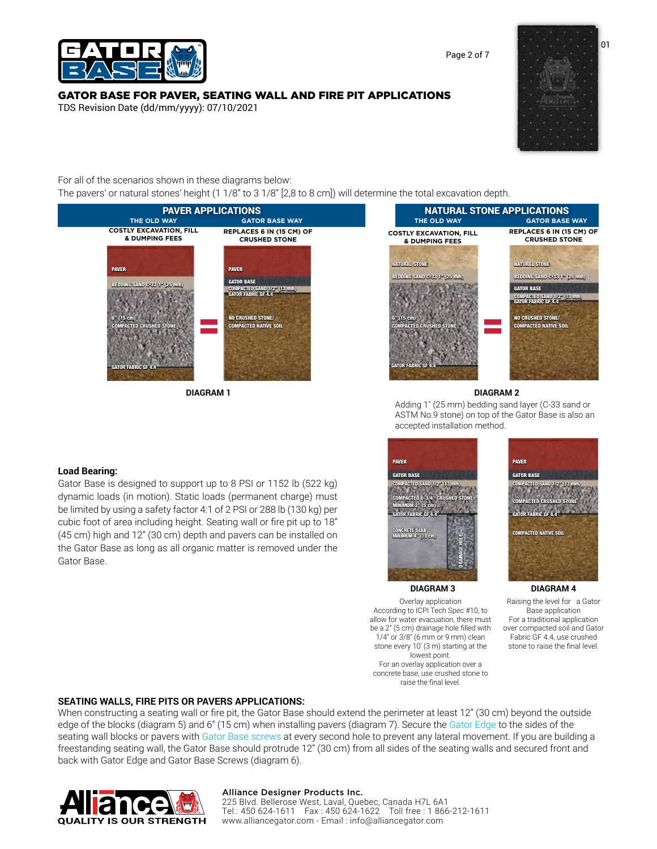

# [GATOR BASE FOR PAVER, SEATING WALL AND FIRE PIT APPLICATIONS](https://alliancegator.com/gator-base/)

TDS Revision Date (dd/mm/yyyy): 07/10/2021



For all of the scenarios shown in these diagrams below: The pavers' or natural stones' height (1 1/8" to 3 1/8" [2,8 to 8 cm]) will determine the total excavation depth.



**DIAGRAM 1 DIAGRAM 2**



Adding 1″ (25 mm) bedding sand layer (C-33 sand or ASTM No.9 stone) on top of the Gator Base is also an accepted installation method.

### **Load Bearing:**

Gator Base is designed to support up to 8 PSI or 1152 lb (522 kg) dynamic loads (in motion). Static loads (permanent charge) must be limited by using a safety factor 4:1 of 2 PSI or 288 lb (130 kg) per cubic foot of area including height. Seating wall or fire pit up to 18" (45 cm) high and 12" (30 cm) depth and pavers can be installed on the Gator Base as long as all organic matter is removed under the Gator Base.



Overlay application According to ICPI Tech Spec #10, to allow for water evacuation, there must be a 2" (5 cm) drainage hole filled with 1/4" or 3/8" (6 mm or 9 mm) clean stone every 10' (3 m) starting at the lowest point.

For an overlay application over a concrete base, use crushed stone to raise the final level.



**DIAGRAM 3 DIAGRAM 4**

Raising the level for a Gator Base application For a traditional application over compacted soil and Gator Fabric GF 4.4, use crushed stone to raise the final level.

### **SEATING WALLS, FIRE PITS OR PAVERS APPLICATIONS:**

When constructing a seating wall or fire pit, the Gator Base should extend the perimeter at least 12" (30 cm) beyond the outside edge of the blocks (diagram 5) and 6" (15 cm) when installing pavers (diagram 7). Secure th[e Gator Edge t](https://alliancegator.com/gator-edges-and-fasteners/gator-edge-rigid-flex/)o the sides of the seating wall blocks or pavers with [Gator Base screws](https://alliancegator.com/gator-edges-and-fasteners/gator-base-screws/) at every second hole to prevent any lateral movement. If you are building a freestanding seating wall, the Gator Base should protrude 12" (30 cm) from all sides of the seating walls and secured front and back with Gator Edge and Gator Base Screws (diagram 6).



#### Alliance Designer Products Inc.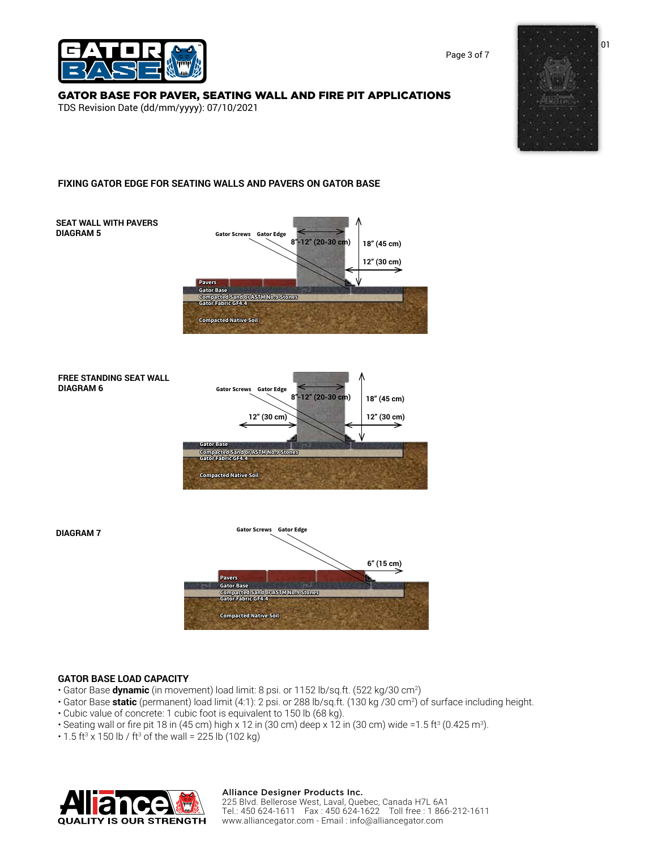

Page 3 of 7

# [GATOR BASE FOR PAVER, SEATING WALL AND FIRE PIT APPLICATIONS](https://alliancegator.com/gator-base/)

TDS Revision Date (dd/mm/yyyy): 07/10/2021



# **FIXING GATOR EDGE FOR SEATING WALLS AND PAVERS ON GATOR BASE**



# **GATOR BASE LOAD CAPACITY**

- Gator Base **dynamic** (in movement) load limit: 8 psi. or 1152 lb/sq.ft. (522 kg/30 cm2 )
- Gator Base **static** (permanent) load limit (4:1): 2 psi. or 288 lb/sq.ft. (130 kg /30 cm2 ) of surface including height.
- Cubic value of concrete: 1 cubic foot is equivalent to 150 lb (68 kg).
- Seating wall or fire pit 18 in (45 cm) high x 12 in (30 cm) deep x 12 in (30 cm) wide =1.5 ft<sup>3</sup> (0.425 m<sup>3</sup>).
- 1.5 ft<sup>3</sup> x 150 lb / ft<sup>3</sup> of the wall = 225 lb (102 kg)



#### Alliance Designer Products Inc.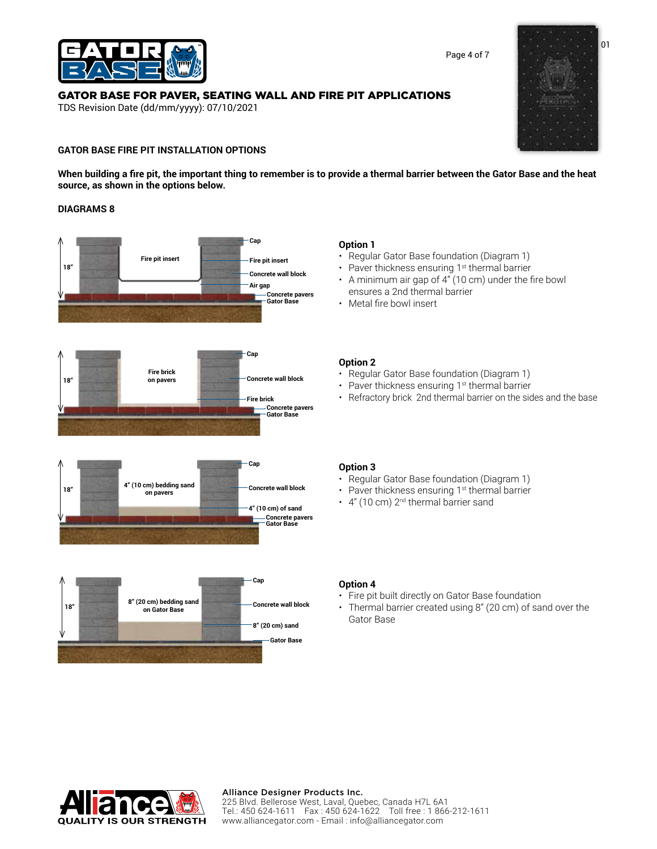

# [GATOR BASE FOR PAVER, SEATING WALL AND FIRE PIT APPLICATIONS](https://alliancegator.com/gator-base/)

TDS Revision Date (dd/mm/yyyy): 07/10/2021

# **GATOR BASE FIRE PIT INSTALLATION OPTIONS**

**When building a fire pit, the important thing to remember is to provide a thermal barrier between the Gator Base and the heat source, as shown in the options below.**

# **DIAGRAMS 8**



# **Option 1**

- Regular Gator Base foundation (Diagram 1)
- Paver thickness ensuring 1<sup>st</sup> thermal barrier
- A minimum air gap of 4" (10 cm) under the fire bowl ensures a 2nd thermal barrier
- Metal fire bowl insert

# **Option 2**

- Regular Gator Base foundation (Diagram 1)
- Paver thickness ensuring 1<sup>st</sup> thermal barrier
- Refractory brick 2nd thermal barrier on the sides and the base

# **Option 3**

- Regular Gator Base foundation (Diagram 1)
- Paver thickness ensuring 1<sup>st</sup> thermal barrier
- $\cdot$  4" (10 cm) 2<sup>nd</sup> thermal barrier sand

# **Option 4**

- Fire pit built directly on Gator Base foundation
- Thermal barrier created using 8'' (20 cm) of sand over the Gator Base



# Alliance Designer Products Inc.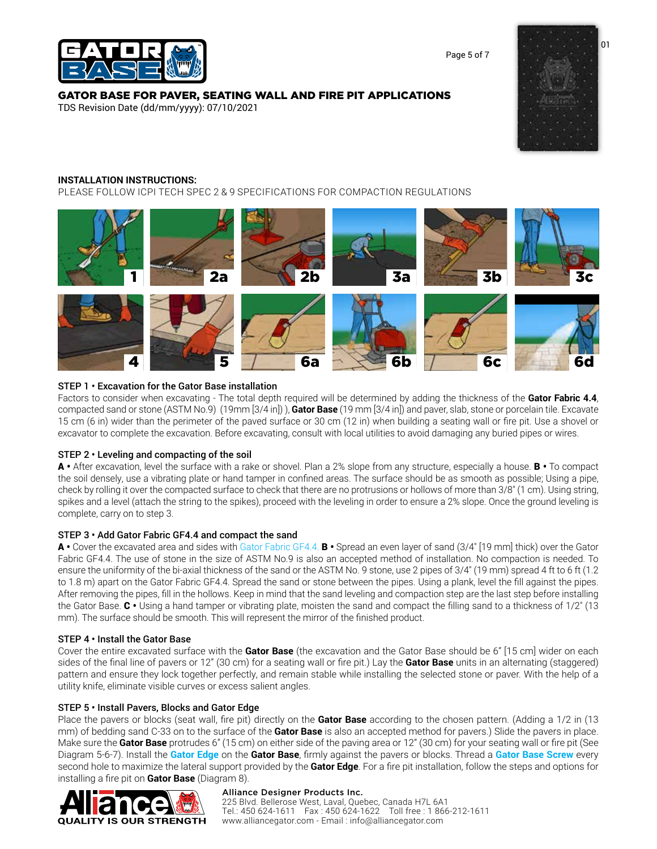

# [GATOR BASE FOR PAVER, SEATING WALL AND FIRE PIT APPLICATIONS](https://alliancegator.com/gator-base/)

TDS Revision Date (dd/mm/yyyy): 07/10/2021



Page 5 of 7

# **INSTALLATION INSTRUCTIONS:**

PLEASE FOLLOW ICPI TECH SPEC 2 & 9 SPECIFICATIONS FOR COMPACTION REGULATIONS



# STEP 1 • Excavation for the Gator Base installation

Factors to consider when excavating - The total depth required will be determined by adding the thickness of the **Gator Fabric 4.4**, compacted sand or stone (ASTM No.9) (19mm [3/4 in]) ), **Gator Base** (19 mm [3/4 in]) and paver, slab, stone or porcelain tile. Excavate 15 cm (6 in) wider than the perimeter of the paved surface or 30 cm (12 in) when building a seating wall or fire pit. Use a shovel or excavator to complete the excavation. Before excavating, consult with local utilities to avoid damaging any buried pipes or wires.

### STEP 2 • Leveling and compacting of the soil

A • After excavation, level the surface with a rake or shovel. Plan a 2% slope from any structure, especially a house. B • To compact the soil densely, use a vibrating plate or hand tamper in confined areas. The surface should be as smooth as possible; Using a pipe, check by rolling it over the compacted surface to check that there are no protrusions or hollows of more than 3/8″ (1 cm). Using string, spikes and a level (attach the string to the spikes), proceed with the leveling in order to ensure a 2% slope. Once the ground leveling is complete, carry on to step 3.

### STEP 3 • Add Gator Fabric GF4.4 and compact the sand

A • Cover the excavated area and sides wit[h Gator Fabric GF4.4.](https://alliancegator.com/gator-grids-fabrics/gator-fabric-gf4-4/) B • Spread an even layer of sand (3/4″ [19 mm] thick) over the Gator Fabric GF4.4. The use of stone in the size of ASTM No.9 is also an accepted method of installation. No compaction is needed. To ensure the uniformity of the bi-axial thickness of the sand or the ASTM No. 9 stone, use 2 pipes of 3/4″ (19 mm) spread 4 ft to 6 ft (1.2 to 1.8 m) apart on the Gator Fabric GF4.4. Spread the sand or stone between the pipes. Using a plank, level the fill against the pipes. After removing the pipes, fill in the hollows. Keep in mind that the sand leveling and compaction step are the last step before installing the Gator Base.  $C \cdot$  Using a hand tamper or vibrating plate, moisten the sand and compact the filling sand to a thickness of 1/2" (13) mm). The surface should be smooth. This will represent the mirror of the finished product.

### STEP 4 • Install the Gator Base

Cover the entire excavated surface with the **Gator Base** (the excavation and the Gator Base should be 6" [15 cm] wider on each sides of the final line of pavers or 12" (30 cm) for a seating wall or fire pit.) Lay the **Gator Base** units in an alternating (staggered) pattern and ensure they lock together perfectly, and remain stable while installing the selected stone or paver. With the help of a utility knife, eliminate visible curves or excess salient angles.

### STEP 5 • Install Pavers, Blocks and Gator Edge

Place the pavers or blocks (seat wall, fire pit) directly on the **Gator Base** according to the chosen pattern. (Adding a 1/2 in (13 mm) of bedding sand C-33 on to the surface of the **Gator Base** is also an accepted method for pavers.) Slide the pavers in place. Make sure the **Gator Base** protrudes 6" (15 cm) on either side of the paving area or 12" (30 cm) for your seating wall or fire pit (See Diagram 5-6-7). Install the **[Gator Edge](https://alliancegator.com/gator-edges-and-fasteners/gator-edge-rigid-flex/)** on the **Gator Base**, firmly against the pavers or blocks. Thread a **[Gator Base Screw](https://alliancegator.com/gator-edges-and-fasteners/gator-base-screws/)** every second hole to maximize the lateral support provided by the **Gator Edge**. For a fire pit installation, follow the steps and options for installing a fire pit on **Gator Base** (Diagram 8).



# Alliance Designer Products Inc.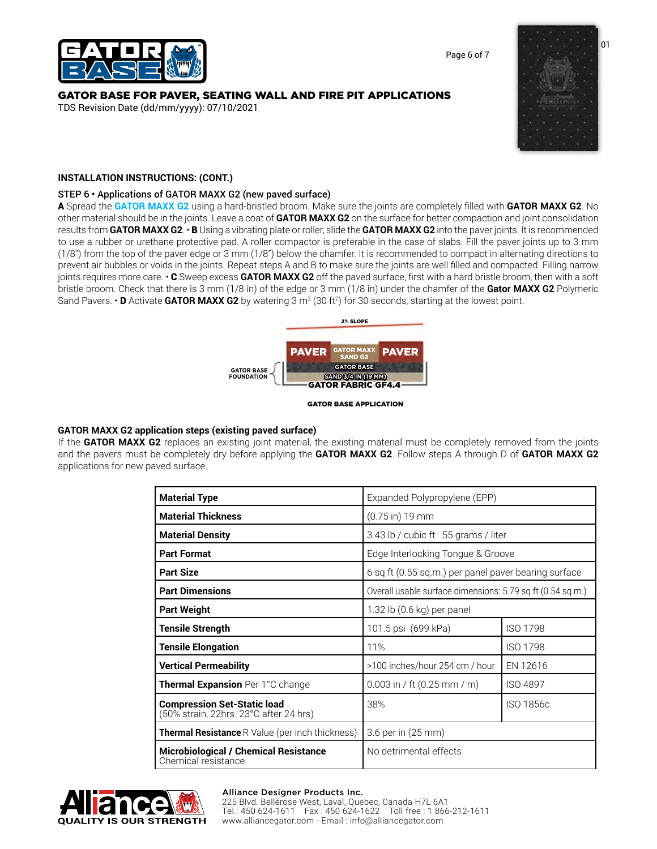Page 6 of 7



# [GATOR BASE FOR PAVER, SEATING WALL AND FIRE PIT APPLICATIONS](https://alliancegator.com/gator-base/)

TDS Revision Date (dd/mm/yyyy): 07/10/2021



# **INSTALLATION INSTRUCTIONS: (CONT.)**

# STEP 6 • Applications of GATOR MAXX G2 (new paved surface)

A Spread the **[GATOR MAXX G2](https://alliancegator.com/gator-jointing-material/gator-maxx-g2/)** using a hard-bristled broom. Make sure the joints are completely filled with **GATOR MAXX G2**. No other material should be in the joints. Leave a coat of **GATOR MAXX G2** on the surface for better compaction and joint consolidation results from **GATOR MAXX G2**. • B Using a vibrating plate or roller, slide the **GATOR MAXX G2** into the paver joints. It is recommended to use a rubber or urethane protective pad. A roller compactor is preferable in the case of slabs. Fill the paver joints up to 3 mm (1/8") from the top of the paver edge or 3 mm (1/8") below the chamfer. It is recommended to compact in alternating directions to prevent air bubbles or voids in the joints. Repeat steps A and B to make sure the joints are well filled and compacted. Filling narrow joints requires more care. • C Sweep excess **GATOR MAXX G2** off the paved surface, first with a hard bristle broom, then with a soft bristle broom. Check that there is 3 mm (1/8 in) of the edge or 3 mm (1/8 in) under the chamfer of the **Gator MAXX G2** Polymeric Sand Pavers. • **D** Activate **GATOR MAXX G2** by watering 3 m<sup>2</sup> (30 ft<sup>2</sup>) for 30 seconds, starting at the lowest point.



#### GATOR BASE APPLICATION

# **GATOR MAXX G2 application steps (existing paved surface)**

If the **GATOR MAXX G2** replaces an existing joint material, the existing material must be completely removed from the joints and the pavers must be completely dry before applying the **GATOR MAXX G2**. Follow steps A through D of **GATOR MAXX G2**  applications for new paved surface.

| <b>Material Type</b>                                                         | Expanded Polypropylene (EPP)                               |                 |  |
|------------------------------------------------------------------------------|------------------------------------------------------------|-----------------|--|
| <b>Material Thickness</b>                                                    | $(0.75 \text{ in})$ 19 mm                                  |                 |  |
| <b>Material Density</b>                                                      | 3.43 lb / cubic ft 55 grams / liter                        |                 |  |
| <b>Part Format</b>                                                           | Edge Interlocking Tongue & Groove                          |                 |  |
| <b>Part Size</b>                                                             | 6 sq ft (0.55 sq.m.) per panel paver bearing surface       |                 |  |
| <b>Part Dimensions</b>                                                       | Overall usable surface dimensions: 5.79 sq ft (0.54 sq.m.) |                 |  |
| <b>Part Weight</b>                                                           | 1.32 lb (0.6 kg) per panel                                 |                 |  |
| <b>Tensile Strength</b>                                                      | 101.5 psi (699 kPa)                                        | <b>ISO 1798</b> |  |
| <b>Tensile Elongation</b>                                                    | 11%                                                        | <b>ISO 1798</b> |  |
| <b>Vertical Permeability</b>                                                 | >100 inches/hour 254 cm / hour                             | EN 12616        |  |
| <b>Thermal Expansion</b> Per 1°C change                                      | $0.003$ in / ft $(0.25$ mm / m)                            | <b>ISO 4897</b> |  |
| <b>Compression Set-Static load</b><br>(50% strain, 22hrs. 23°C after 24 hrs) | 38%                                                        | ISO 1856c       |  |
| <b>Thermal Resistance</b> R Value (per inch thickness)                       | 3.6 per in (25 mm)                                         |                 |  |
| <b>Microbiological / Chemical Resistance</b><br>Chemical resistance          | No detrimental effects                                     |                 |  |



# Alliance Designer Products Inc.